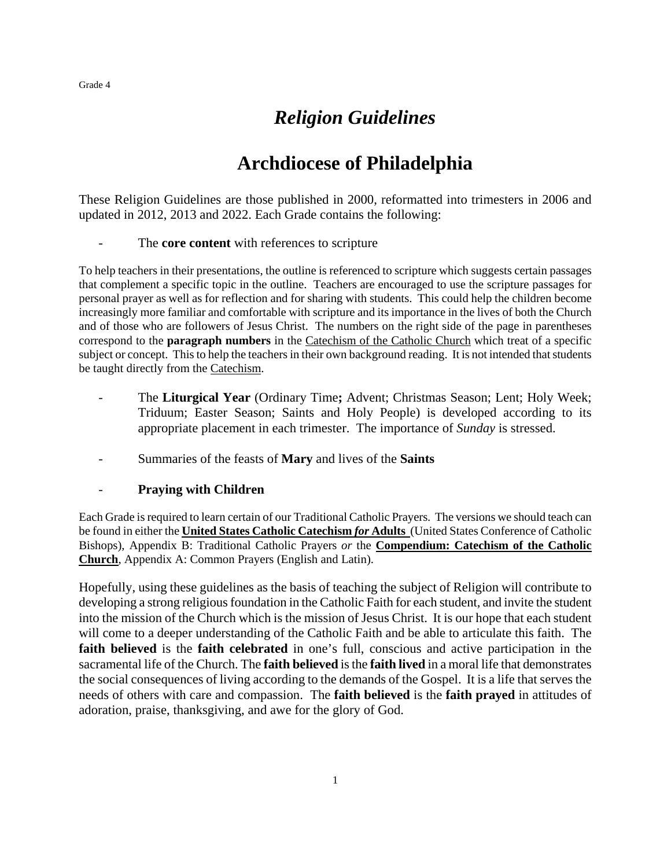## *Religion Guidelines*

## **Archdiocese of Philadelphia**

These Religion Guidelines are those published in 2000, reformatted into trimesters in 2006 and updated in 2012, 2013 and 2022. Each Grade contains the following:

## The **core content** with references to scripture

To help teachers in their presentations, the outline is referenced to scripture which suggests certain passages that complement a specific topic in the outline. Teachers are encouraged to use the scripture passages for personal prayer as well as for reflection and for sharing with students. This could help the children become increasingly more familiar and comfortable with scripture and its importance in the lives of both the Church and of those who are followers of Jesus Christ. The numbers on the right side of the page in parentheses correspond to the **paragraph numbers** in the Catechism of the Catholic Church which treat of a specific subject or concept. This to help the teachers in their own background reading. It is not intended that students be taught directly from the Catechism.

- The Liturgical Year (Ordinary Time; Advent; Christmas Season; Lent; Holy Week; Triduum; Easter Season; Saints and Holy People) is developed according to its appropriate placement in each trimester. The importance of *Sunday* is stressed.
- Summaries of the feasts of **Mary** and lives of the **Saints**

## - **Praying with Children**

Each Grade is required to learn certain of our Traditional Catholic Prayers. The versions we should teach can be found in either the **United States Catholic Catechism** *for* **Adults** (United States Conference of Catholic Bishops), Appendix B: Traditional Catholic Prayers *or* the **Compendium: Catechism of the Catholic Church**, Appendix A: Common Prayers (English and Latin).

Hopefully, using these guidelines as the basis of teaching the subject of Religion will contribute to developing a strong religious foundation in the Catholic Faith for each student, and invite the student into the mission of the Church which is the mission of Jesus Christ. It is our hope that each student will come to a deeper understanding of the Catholic Faith and be able to articulate this faith. The **faith believed** is the **faith celebrated** in one's full, conscious and active participation in the sacramental life of the Church. The **faith believed** is the **faith lived** in a moral life that demonstrates the social consequences of living according to the demands of the Gospel. It is a life that serves the needs of others with care and compassion. The **faith believed** is the **faith prayed** in attitudes of adoration, praise, thanksgiving, and awe for the glory of God.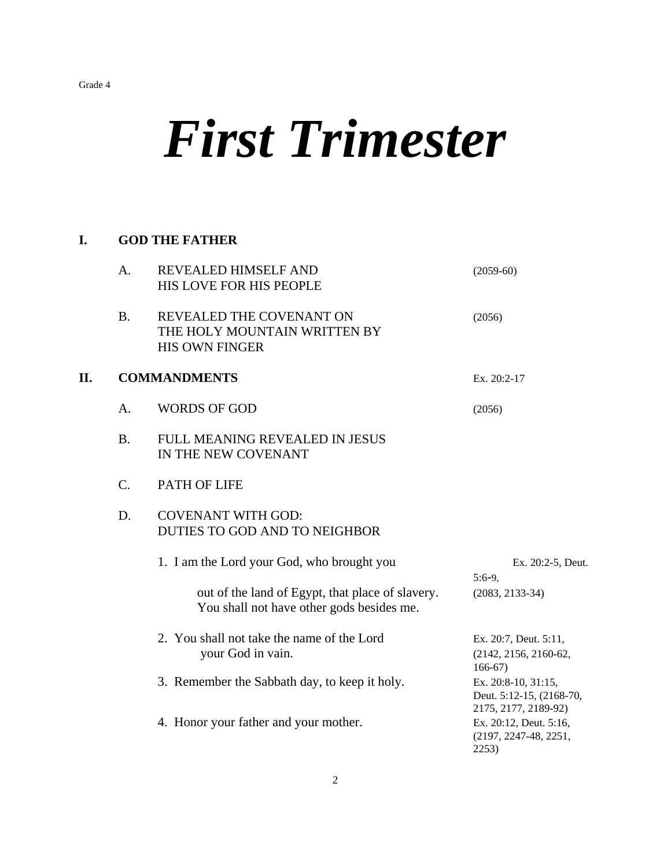# *First Trimester*

## **I. GOD THE FATHER**

|    | A.        | <b>REVEALED HIMSELF AND</b><br>HIS LOVE FOR HIS PEOPLE                                        | $(2059-60)$                                                                      |
|----|-----------|-----------------------------------------------------------------------------------------------|----------------------------------------------------------------------------------|
|    | <b>B.</b> | REVEALED THE COVENANT ON<br>THE HOLY MOUNTAIN WRITTEN BY<br><b>HIS OWN FINGER</b>             | (2056)                                                                           |
| П. |           | <b>COMMANDMENTS</b>                                                                           | Ex. 20:2-17                                                                      |
|    | A.        | <b>WORDS OF GOD</b>                                                                           | (2056)                                                                           |
|    | <b>B.</b> | FULL MEANING REVEALED IN JESUS<br>IN THE NEW COVENANT                                         |                                                                                  |
|    | C.        | PATH OF LIFE                                                                                  |                                                                                  |
|    | D.        | <b>COVENANT WITH GOD:</b><br>DUTIES TO GOD AND TO NEIGHBOR                                    |                                                                                  |
|    |           | 1. I am the Lord your God, who brought you                                                    | Ex. 20:2-5, Deut.<br>$5:6-9,$                                                    |
|    |           | out of the land of Egypt, that place of slavery.<br>You shall not have other gods besides me. | $(2083, 2133-34)$                                                                |
|    |           | 2. You shall not take the name of the Lord<br>your God in vain.                               | Ex. 20:7, Deut. 5:11,<br>(2142, 2156, 2160-62,<br>$166-67$                       |
|    |           | 3. Remember the Sabbath day, to keep it holy.                                                 | Ex. 20:8-10, 31:15,<br>Deut. 5:12-15, (2168-70,                                  |
|    |           | 4. Honor your father and your mother.                                                         | 2175, 2177, 2189-92)<br>Ex. 20:12, Deut. 5:16,<br>(2197, 2247-48, 2251,<br>2253) |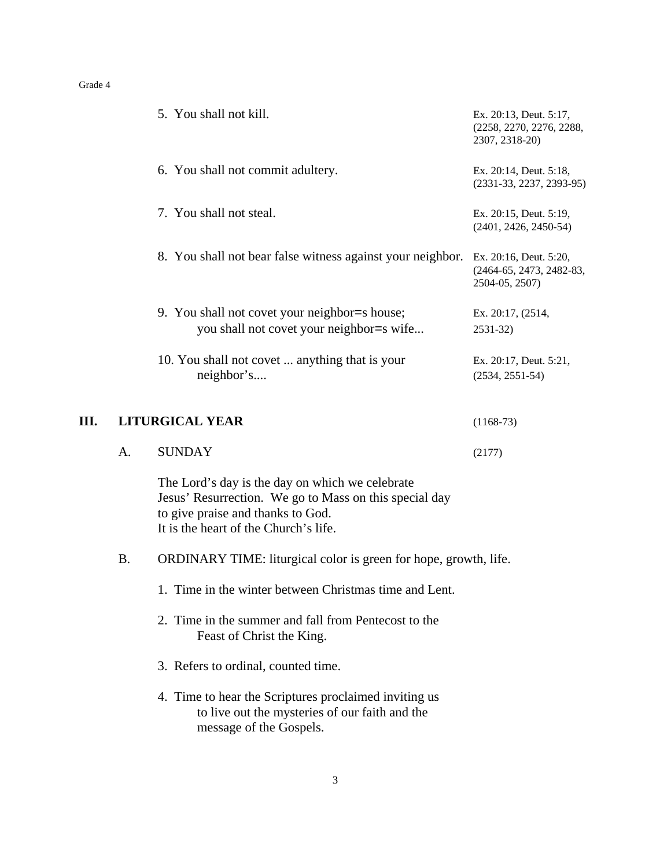|    |           | 5. You shall not kill.                                                                                                                                                                  | Ex. 20:13, Deut. 5:17,<br>(2258, 2270, 2276, 2288,<br>2307, 2318-20) |
|----|-----------|-----------------------------------------------------------------------------------------------------------------------------------------------------------------------------------------|----------------------------------------------------------------------|
|    |           | 6. You shall not commit adultery.                                                                                                                                                       | Ex. 20:14, Deut. 5:18,<br>$(2331-33, 2237, 2393-95)$                 |
|    |           | 7. You shall not steal.                                                                                                                                                                 | Ex. 20:15, Deut. 5:19,<br>$(2401, 2426, 2450-54)$                    |
|    |           | 8. You shall not bear false witness against your neighbor.                                                                                                                              | Ex. 20:16, Deut. 5:20,<br>(2464-65, 2473, 2482-83,<br>2504-05, 2507) |
|    |           | 9. You shall not covet your neighbor=s house;<br>you shall not covet your neighbor=s wife                                                                                               | Ex. 20:17, (2514,<br>2531-32)                                        |
|    |           | 10. You shall not covet  anything that is your<br>neighbor's                                                                                                                            | Ex. 20:17, Deut. 5:21,<br>$(2534, 2551-54)$                          |
| Ш. |           | <b>LITURGICAL YEAR</b>                                                                                                                                                                  | $(1168-73)$                                                          |
|    | A.        | <b>SUNDAY</b>                                                                                                                                                                           | (2177)                                                               |
|    |           | The Lord's day is the day on which we celebrate<br>Jesus' Resurrection. We go to Mass on this special day<br>to give praise and thanks to God.<br>It is the heart of the Church's life. |                                                                      |
|    | <b>B.</b> | ORDINARY TIME: liturgical color is green for hope, growth, life.                                                                                                                        |                                                                      |
|    |           | 1. Time in the winter between Christmas time and Lent.                                                                                                                                  |                                                                      |
|    |           | 2. Time in the summer and fall from Pentecost to the<br>Feast of Christ the King.                                                                                                       |                                                                      |
|    |           | 3. Refers to ordinal, counted time.                                                                                                                                                     |                                                                      |
|    |           | 4. Time to hear the Scriptures proclaimed inviting us<br>to live out the mysteries of our faith and the<br>message of the Gospels.                                                      |                                                                      |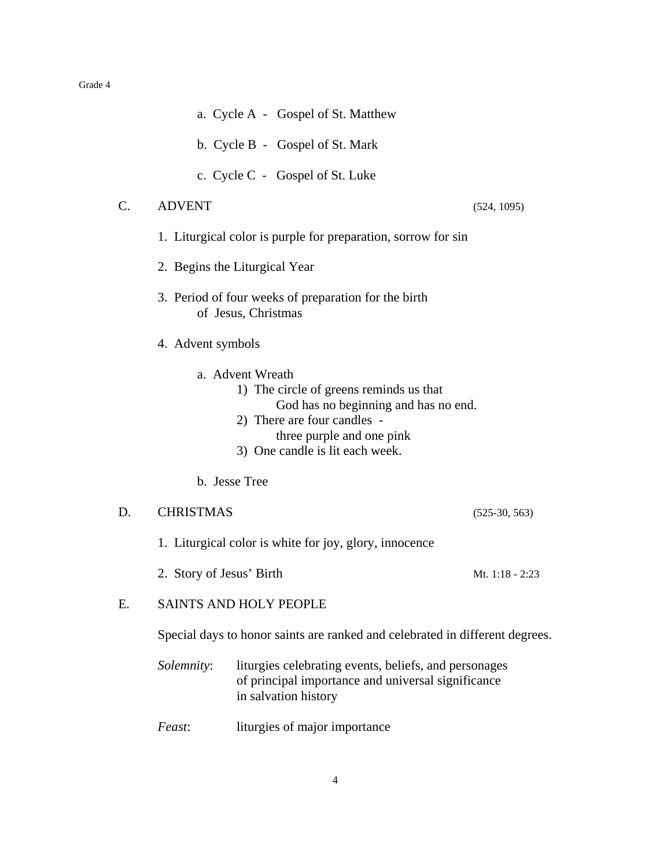|    |                          | a. Cycle A - Gospel of St. Matthew                                                                                                                                                                 |                 |
|----|--------------------------|----------------------------------------------------------------------------------------------------------------------------------------------------------------------------------------------------|-----------------|
|    |                          | b. Cycle B - Gospel of St. Mark                                                                                                                                                                    |                 |
|    |                          | c. Cycle C - Gospel of St. Luke                                                                                                                                                                    |                 |
| C. | <b>ADVENT</b>            |                                                                                                                                                                                                    | (524, 1095)     |
|    |                          | 1. Liturgical color is purple for preparation, sorrow for sin                                                                                                                                      |                 |
|    |                          | 2. Begins the Liturgical Year                                                                                                                                                                      |                 |
|    |                          | 3. Period of four weeks of preparation for the birth<br>of Jesus, Christmas                                                                                                                        |                 |
|    | 4. Advent symbols        |                                                                                                                                                                                                    |                 |
|    |                          | a. Advent Wreath<br>1) The circle of greens reminds us that<br>God has no beginning and has no end.<br>2) There are four candles -<br>three purple and one pink<br>3) One candle is lit each week. |                 |
|    |                          | b. Jesse Tree                                                                                                                                                                                      |                 |
| D. | <b>CHRISTMAS</b>         |                                                                                                                                                                                                    | $(525-30, 563)$ |
|    |                          | 1. Liturgical color is white for joy, glory, innocence                                                                                                                                             |                 |
|    | 2. Story of Jesus' Birth |                                                                                                                                                                                                    | Mt. 1:18 - 2:23 |
| Е. |                          | <b>SAINTS AND HOLY PEOPLE</b>                                                                                                                                                                      |                 |
|    |                          | Special days to honor saints are ranked and celebrated in different degrees.                                                                                                                       |                 |
|    | Solemnity:               | liturgies celebrating events, beliefs, and personages<br>of principal importance and universal significance<br>in salvation history                                                                |                 |

*Feast*: liturgies of major importance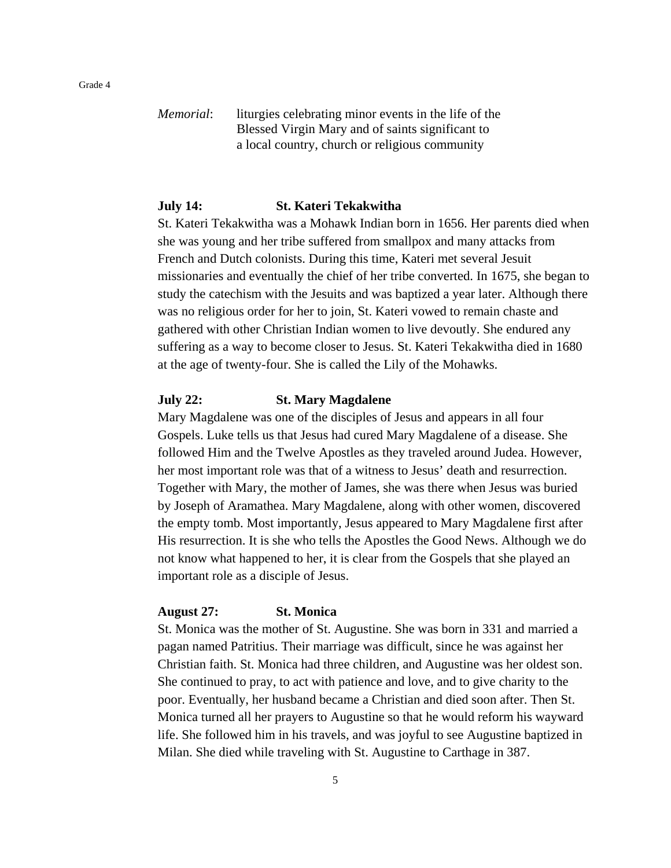*Memorial*: liturgies celebrating minor events in the life of the Blessed Virgin Mary and of saints significant to a local country, church or religious community

## **July 14: St. Kateri Tekakwitha**

St. Kateri Tekakwitha was a Mohawk Indian born in 1656. Her parents died when she was young and her tribe suffered from smallpox and many attacks from French and Dutch colonists. During this time, Kateri met several Jesuit missionaries and eventually the chief of her tribe converted. In 1675, she began to study the catechism with the Jesuits and was baptized a year later. Although there was no religious order for her to join, St. Kateri vowed to remain chaste and gathered with other Christian Indian women to live devoutly. She endured any suffering as a way to become closer to Jesus. St. Kateri Tekakwitha died in 1680 at the age of twenty-four. She is called the Lily of the Mohawks.

## **July 22: St. Mary Magdalene**

Mary Magdalene was one of the disciples of Jesus and appears in all four Gospels. Luke tells us that Jesus had cured Mary Magdalene of a disease. She followed Him and the Twelve Apostles as they traveled around Judea. However, her most important role was that of a witness to Jesus' death and resurrection. Together with Mary, the mother of James, she was there when Jesus was buried by Joseph of Aramathea. Mary Magdalene, along with other women, discovered the empty tomb. Most importantly, Jesus appeared to Mary Magdalene first after His resurrection. It is she who tells the Apostles the Good News. Although we do not know what happened to her, it is clear from the Gospels that she played an important role as a disciple of Jesus.

## **August 27: St. Monica**

St. Monica was the mother of St. Augustine. She was born in 331 and married a pagan named Patritius. Their marriage was difficult, since he was against her Christian faith. St. Monica had three children, and Augustine was her oldest son. She continued to pray, to act with patience and love, and to give charity to the poor. Eventually, her husband became a Christian and died soon after. Then St. Monica turned all her prayers to Augustine so that he would reform his wayward life. She followed him in his travels, and was joyful to see Augustine baptized in Milan. She died while traveling with St. Augustine to Carthage in 387.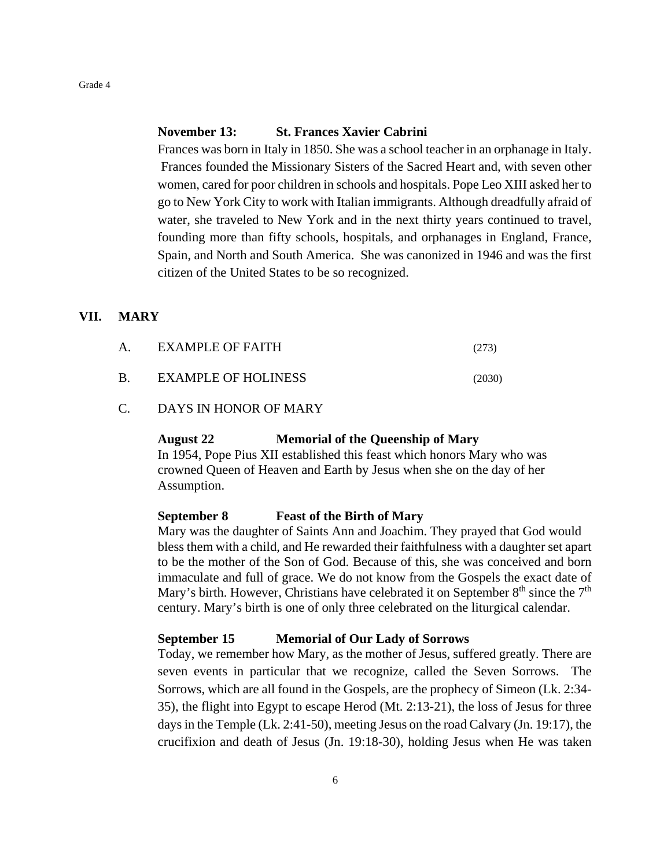## **November 13: St. Frances Xavier Cabrini**

Frances was born in Italy in 1850. She was a school teacher in an orphanage in Italy. Frances founded the Missionary Sisters of the Sacred Heart and, with seven other women, cared for poor children in schools and hospitals. Pope Leo XIII asked her to go to New York City to work with Italian immigrants. Although dreadfully afraid of water, she traveled to New York and in the next thirty years continued to travel, founding more than fifty schools, hospitals, and orphanages in England, France, Spain, and North and South America. She was canonized in 1946 and was the first citizen of the United States to be so recognized.

#### **VII. MARY**

| Α. | EXAMPLE OF FAITH           | (273)  |
|----|----------------------------|--------|
| Β. | <b>EXAMPLE OF HOLINESS</b> | (2030) |

C. DAYS IN HONOR OF MARY

#### **August 22 Memorial of the Queenship of Mary**

In 1954, Pope Pius XII established this feast which honors Mary who was crowned Queen of Heaven and Earth by Jesus when she on the day of her Assumption.

#### **September 8 Feast of the Birth of Mary**

Mary was the daughter of Saints Ann and Joachim. They prayed that God would bless them with a child, and He rewarded their faithfulness with a daughter set apart to be the mother of the Son of God. Because of this, she was conceived and born immaculate and full of grace. We do not know from the Gospels the exact date of Mary's birth. However, Christians have celebrated it on September  $8<sup>th</sup>$  since the  $7<sup>th</sup>$ century. Mary's birth is one of only three celebrated on the liturgical calendar.

## **September 15 Memorial of Our Lady of Sorrows**

Today, we remember how Mary, as the mother of Jesus, suffered greatly. There are seven events in particular that we recognize, called the Seven Sorrows. The Sorrows, which are all found in the Gospels, are the prophecy of Simeon (Lk. 2:34- 35), the flight into Egypt to escape Herod (Mt. 2:13-21), the loss of Jesus for three days in the Temple (Lk. 2:41-50), meeting Jesus on the road Calvary (Jn. 19:17), the crucifixion and death of Jesus (Jn. 19:18-30), holding Jesus when He was taken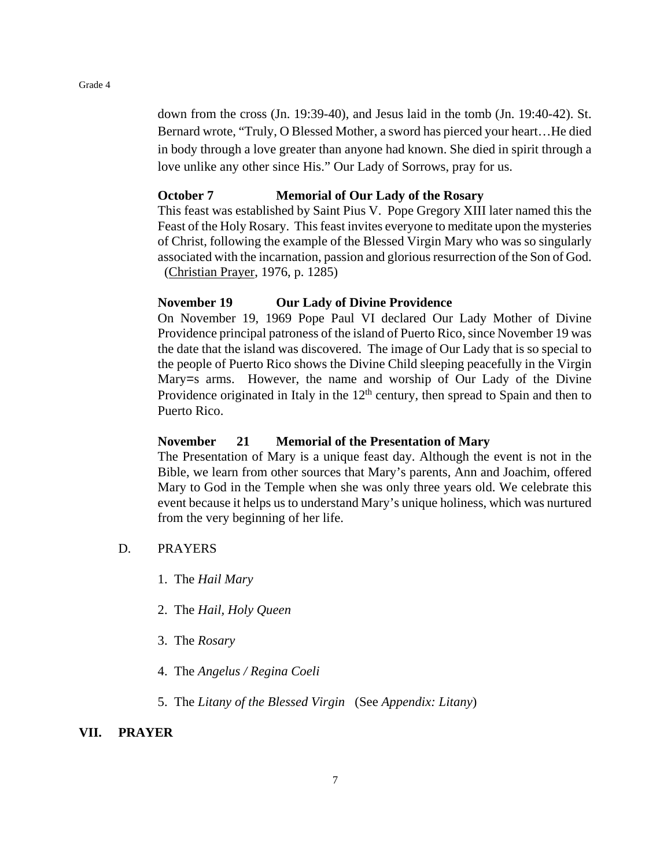down from the cross (Jn. 19:39-40), and Jesus laid in the tomb (Jn. 19:40-42). St. Bernard wrote, "Truly, O Blessed Mother, a sword has pierced your heart…He died in body through a love greater than anyone had known. She died in spirit through a love unlike any other since His." Our Lady of Sorrows, pray for us.

## **October 7 Memorial of Our Lady of the Rosary**

This feast was established by Saint Pius V. Pope Gregory XIII later named this the Feast of the Holy Rosary. This feast invites everyone to meditate upon the mysteries of Christ, following the example of the Blessed Virgin Mary who was so singularly associated with the incarnation, passion and glorious resurrection of the Son of God. (Christian Prayer, 1976, p. 1285)

## **November 19 Our Lady of Divine Providence**

On November 19, 1969 Pope Paul VI declared Our Lady Mother of Divine Providence principal patroness of the island of Puerto Rico, since November 19 was the date that the island was discovered. The image of Our Lady that is so special to the people of Puerto Rico shows the Divine Child sleeping peacefully in the Virgin Mary=s arms. However, the name and worship of Our Lady of the Divine Providence originated in Italy in the  $12<sup>th</sup>$  century, then spread to Spain and then to Puerto Rico.

## **November 21 Memorial of the Presentation of Mary**

The Presentation of Mary is a unique feast day. Although the event is not in the Bible, we learn from other sources that Mary's parents, Ann and Joachim, offered Mary to God in the Temple when she was only three years old. We celebrate this event because it helps us to understand Mary's unique holiness, which was nurtured from the very beginning of her life.

- D. PRAYERS
	- 1. The *Hail Mary*
	- 2. The *Hail, Holy Queen*
	- 3. The *Rosary*
	- 4. The *Angelus / Regina Coeli*
	- 5. The *Litany of the Blessed Virgin* (See *Appendix: Litany*)

### **VII. PRAYER**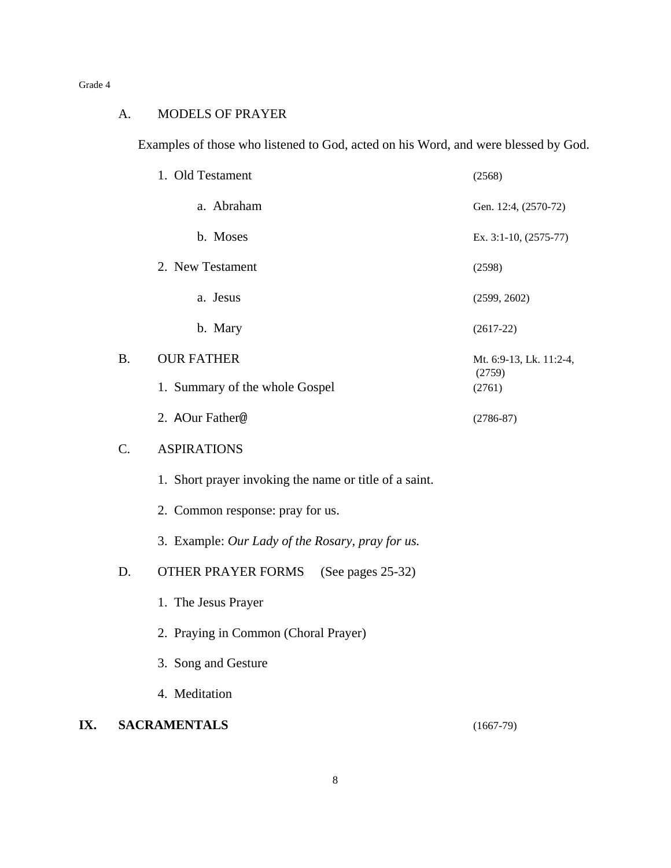## A. MODELS OF PRAYER

Examples of those who listened to God, acted on his Word, and were blessed by God.

|     |           | 1. Old Testament                                       | (2568)                            |
|-----|-----------|--------------------------------------------------------|-----------------------------------|
|     |           | a. Abraham                                             | Gen. 12:4, (2570-72)              |
|     |           | b. Moses                                               | Ex. 3:1-10, (2575-77)             |
|     |           | 2. New Testament                                       | (2598)                            |
|     |           | a. Jesus                                               | (2599, 2602)                      |
|     |           | b. Mary                                                | $(2617-22)$                       |
|     | <b>B.</b> | <b>OUR FATHER</b>                                      | Mt. 6:9-13, Lk. 11:2-4,<br>(2759) |
|     |           | 1. Summary of the whole Gospel                         | (2761)                            |
|     |           | 2. AOur Father@                                        | $(2786 - 87)$                     |
|     | $C$ .     | <b>ASPIRATIONS</b>                                     |                                   |
|     |           | 1. Short prayer invoking the name or title of a saint. |                                   |
|     |           | 2. Common response: pray for us.                       |                                   |
|     |           | 3. Example: Our Lady of the Rosary, pray for us.       |                                   |
|     | D.        | OTHER PRAYER FORMS<br>(See pages 25-32)                |                                   |
|     |           | 1. The Jesus Prayer                                    |                                   |
|     |           | 2. Praying in Common (Choral Prayer)                   |                                   |
|     |           | 3. Song and Gesture                                    |                                   |
|     |           | 4. Meditation                                          |                                   |
| IX. |           | <b>SACRAMENTALS</b>                                    | $(1667-79)$                       |

8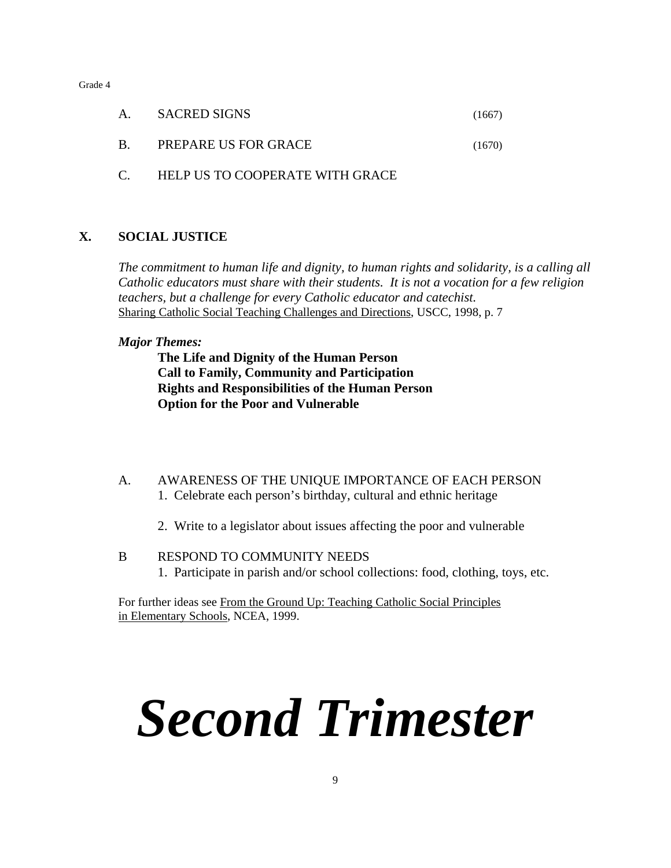| A. | <b>SACRED SIGNS</b>  | (1667) |
|----|----------------------|--------|
| B. | PREPARE US FOR GRACE | (1670) |

C. HELP US TO COOPERATE WITH GRACE

## **X. SOCIAL JUSTICE**

*The commitment to human life and dignity, to human rights and solidarity, is a calling all Catholic educators must share with their students. It is not a vocation for a few religion teachers, but a challenge for every Catholic educator and catechist.* Sharing Catholic Social Teaching Challenges and Directions, USCC, 1998, p. 7

## *Major Themes:*

**The Life and Dignity of the Human Person Call to Family, Community and Participation Rights and Responsibilities of the Human Person Option for the Poor and Vulnerable**

- A. AWARENESS OF THE UNIQUE IMPORTANCE OF EACH PERSON 1. Celebrate each person's birthday, cultural and ethnic heritage
	- 2. Write to a legislator about issues affecting the poor and vulnerable
- B RESPOND TO COMMUNITY NEEDS 1. Participate in parish and/or school collections: food, clothing, toys, etc.

For further ideas see From the Ground Up: Teaching Catholic Social Principles in Elementary Schools, NCEA, 1999.

# *Second Trimester*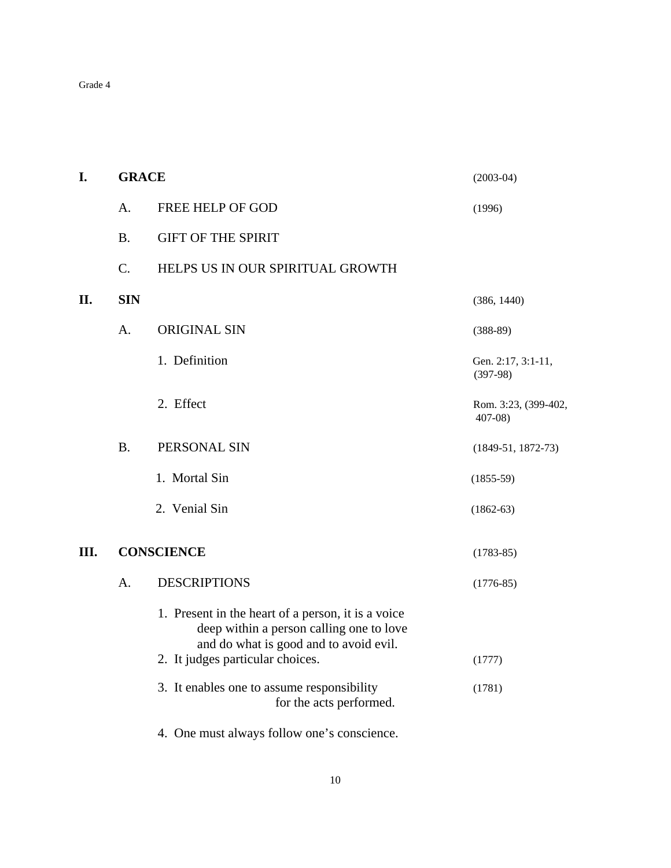| I.   | <b>GRACE</b> |                                                                                                                                          | $(2003-04)$                        |
|------|--------------|------------------------------------------------------------------------------------------------------------------------------------------|------------------------------------|
|      | A.           | FREE HELP OF GOD                                                                                                                         | (1996)                             |
|      | <b>B.</b>    | <b>GIFT OF THE SPIRIT</b>                                                                                                                |                                    |
|      | C.           | HELPS US IN OUR SPIRITUAL GROWTH                                                                                                         |                                    |
| II.  | <b>SIN</b>   |                                                                                                                                          | (386, 1440)                        |
|      | A.           | <b>ORIGINAL SIN</b>                                                                                                                      | $(388-89)$                         |
|      |              | 1. Definition                                                                                                                            | Gen. 2:17, 3:1-11,<br>$(397-98)$   |
|      |              | 2. Effect                                                                                                                                | Rom. 3:23, (399-402,<br>$407 - 08$ |
|      | <b>B.</b>    | PERSONAL SIN                                                                                                                             | $(1849-51, 1872-73)$               |
|      |              | 1. Mortal Sin                                                                                                                            | $(1855-59)$                        |
|      |              | 2. Venial Sin                                                                                                                            | $(1862-63)$                        |
| III. |              | <b>CONSCIENCE</b>                                                                                                                        | $(1783-85)$                        |
|      | A.           | <b>DESCRIPTIONS</b>                                                                                                                      | $(1776-85)$                        |
|      |              | 1. Present in the heart of a person, it is a voice<br>deep within a person calling one to love<br>and do what is good and to avoid evil. |                                    |
|      |              | 2. It judges particular choices.                                                                                                         | (1777)                             |
|      |              | 3. It enables one to assume responsibility<br>for the acts performed.                                                                    | (1781)                             |
|      |              | 4. One must always follow one's conscience.                                                                                              |                                    |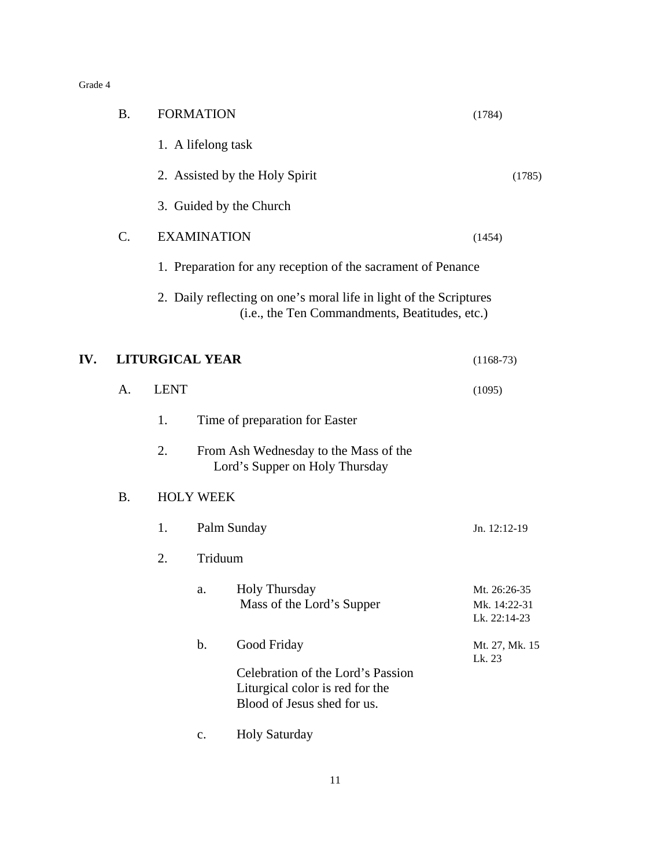|     | <b>B.</b> |             | <b>FORMATION</b>       |                                                                                                                      | (1784)                                       |
|-----|-----------|-------------|------------------------|----------------------------------------------------------------------------------------------------------------------|----------------------------------------------|
|     |           |             | 1. A lifelong task     |                                                                                                                      |                                              |
|     |           |             |                        | 2. Assisted by the Holy Spirit                                                                                       | (1785)                                       |
|     |           |             |                        | 3. Guided by the Church                                                                                              |                                              |
|     | C.        |             | <b>EXAMINATION</b>     |                                                                                                                      | (1454)                                       |
|     |           |             |                        | 1. Preparation for any reception of the sacrament of Penance                                                         |                                              |
|     |           |             |                        | 2. Daily reflecting on one's moral life in light of the Scriptures<br>(i.e., the Ten Commandments, Beatitudes, etc.) |                                              |
| IV. |           |             | <b>LITURGICAL YEAR</b> |                                                                                                                      | $(1168-73)$                                  |
|     | A.        | <b>LENT</b> |                        |                                                                                                                      | (1095)                                       |
|     |           | 1.          |                        | Time of preparation for Easter                                                                                       |                                              |
|     |           | 2.          |                        | From Ash Wednesday to the Mass of the<br>Lord's Supper on Holy Thursday                                              |                                              |
|     | <b>B.</b> |             | <b>HOLY WEEK</b>       |                                                                                                                      |                                              |
|     |           | 1.          |                        | Palm Sunday                                                                                                          | Jn. 12:12-19                                 |
|     |           | 2.          | Triduum                |                                                                                                                      |                                              |
|     |           |             | a.                     | <b>Holy Thursday</b><br>Mass of the Lord's Supper                                                                    | Mt. 26:26-35<br>Mk. 14:22-31<br>Lk. 22:14-23 |
|     |           |             | $\mathbf b$ .          | Good Friday                                                                                                          | Mt. 27, Mk. 15<br>Lk. 23                     |
|     |           |             |                        | Celebration of the Lord's Passion<br>Liturgical color is red for the<br>Blood of Jesus shed for us.                  |                                              |
|     |           |             | c.                     | <b>Holy Saturday</b>                                                                                                 |                                              |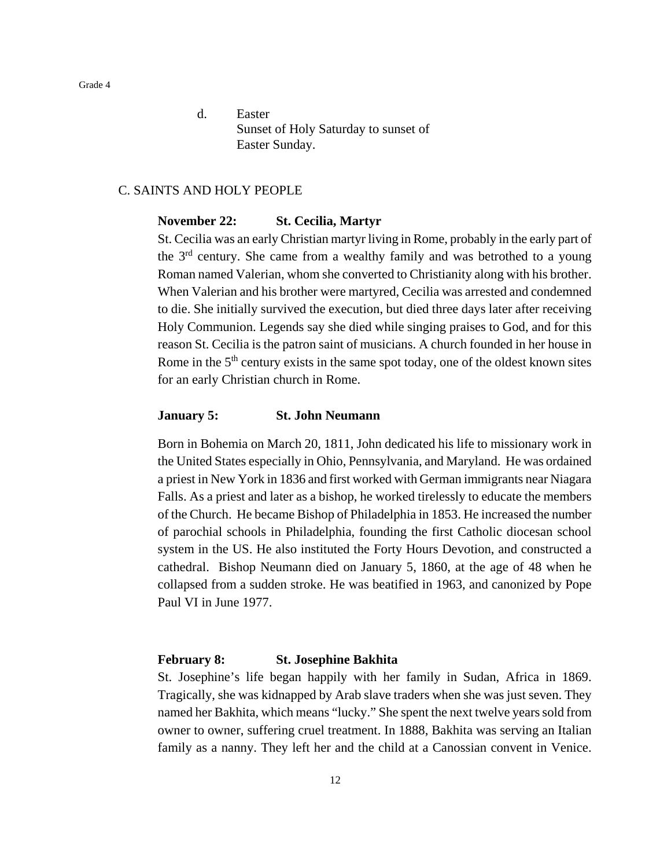d. Easter Sunset of Holy Saturday to sunset of Easter Sunday.

## C. SAINTS AND HOLY PEOPLE

## **November 22: St. Cecilia, Martyr**

St. Cecilia was an early Christian martyr living in Rome, probably in the early part of the 3<sup>rd</sup> century. She came from a wealthy family and was betrothed to a young Roman named Valerian, whom she converted to Christianity along with his brother. When Valerian and his brother were martyred, Cecilia was arrested and condemned to die. She initially survived the execution, but died three days later after receiving Holy Communion. Legends say she died while singing praises to God, and for this reason St. Cecilia is the patron saint of musicians. A church founded in her house in Rome in the  $5<sup>th</sup>$  century exists in the same spot today, one of the oldest known sites for an early Christian church in Rome.

## **January 5: St. John Neumann**

Born in Bohemia on March 20, 1811, John dedicated his life to missionary work in the United States especially in Ohio, Pennsylvania, and Maryland. He was ordained a priest in New York in 1836 and first worked with German immigrants near Niagara Falls. As a priest and later as a bishop, he worked tirelessly to educate the members of the Church. He became Bishop of Philadelphia in 1853. He increased the number of parochial schools in Philadelphia, founding the first Catholic diocesan school system in the US. He also instituted the Forty Hours Devotion, and constructed a cathedral. Bishop Neumann died on January 5, 1860, at the age of 48 when he collapsed from a sudden stroke. He was beatified in 1963, and canonized by Pope Paul VI in June 1977.

## **February 8: St. Josephine Bakhita**

St. Josephine's life began happily with her family in Sudan, Africa in 1869. Tragically, she was kidnapped by Arab slave traders when she was just seven. They named her Bakhita, which means "lucky." She spent the next twelve years sold from owner to owner, suffering cruel treatment. In 1888, Bakhita was serving an Italian family as a nanny. They left her and the child at a Canossian convent in Venice.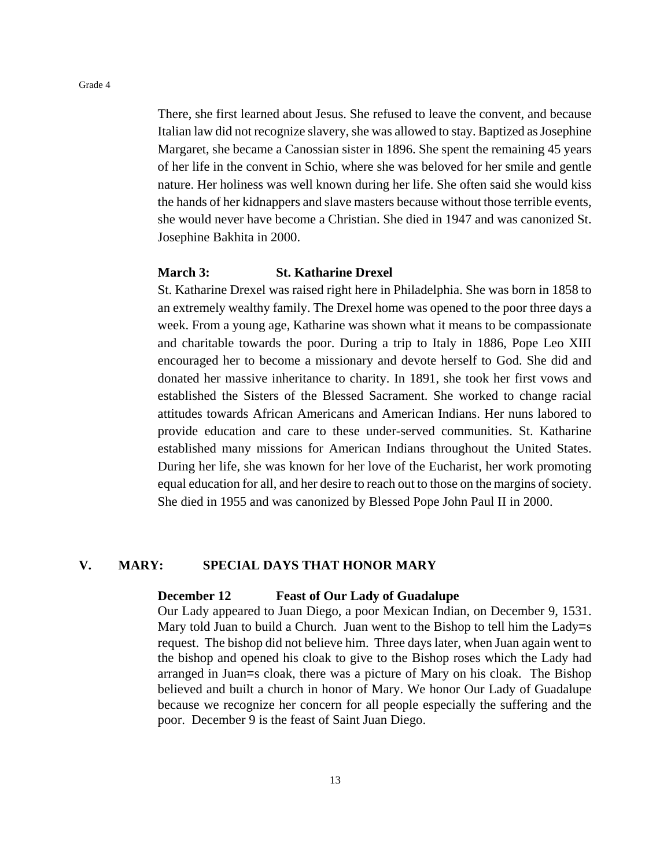There, she first learned about Jesus. She refused to leave the convent, and because Italian law did not recognize slavery, she was allowed to stay. Baptized as Josephine Margaret, she became a Canossian sister in 1896. She spent the remaining 45 years of her life in the convent in Schio, where she was beloved for her smile and gentle nature. Her holiness was well known during her life. She often said she would kiss the hands of her kidnappers and slave masters because without those terrible events, she would never have become a Christian. She died in 1947 and was canonized St. Josephine Bakhita in 2000.

### **March 3: St. Katharine Drexel**

St. Katharine Drexel was raised right here in Philadelphia. She was born in 1858 to an extremely wealthy family. The Drexel home was opened to the poor three days a week. From a young age, Katharine was shown what it means to be compassionate and charitable towards the poor. During a trip to Italy in 1886, Pope Leo XIII encouraged her to become a missionary and devote herself to God. She did and donated her massive inheritance to charity. In 1891, she took her first vows and established the Sisters of the Blessed Sacrament. She worked to change racial attitudes towards African Americans and American Indians. Her nuns labored to provide education and care to these under-served communities. St. Katharine established many missions for American Indians throughout the United States. During her life, she was known for her love of the Eucharist, her work promoting equal education for all, and her desire to reach out to those on the margins of society. She died in 1955 and was canonized by Blessed Pope John Paul II in 2000.

## **V. MARY: SPECIAL DAYS THAT HONOR MARY**

### **December 12 Feast of Our Lady of Guadalupe**

Our Lady appeared to Juan Diego, a poor Mexican Indian, on December 9, 1531. Mary told Juan to build a Church. Juan went to the Bishop to tell him the Lady=s request. The bishop did not believe him. Three days later, when Juan again went to the bishop and opened his cloak to give to the Bishop roses which the Lady had arranged in Juan=s cloak, there was a picture of Mary on his cloak. The Bishop believed and built a church in honor of Mary. We honor Our Lady of Guadalupe because we recognize her concern for all people especially the suffering and the poor. December 9 is the feast of Saint Juan Diego.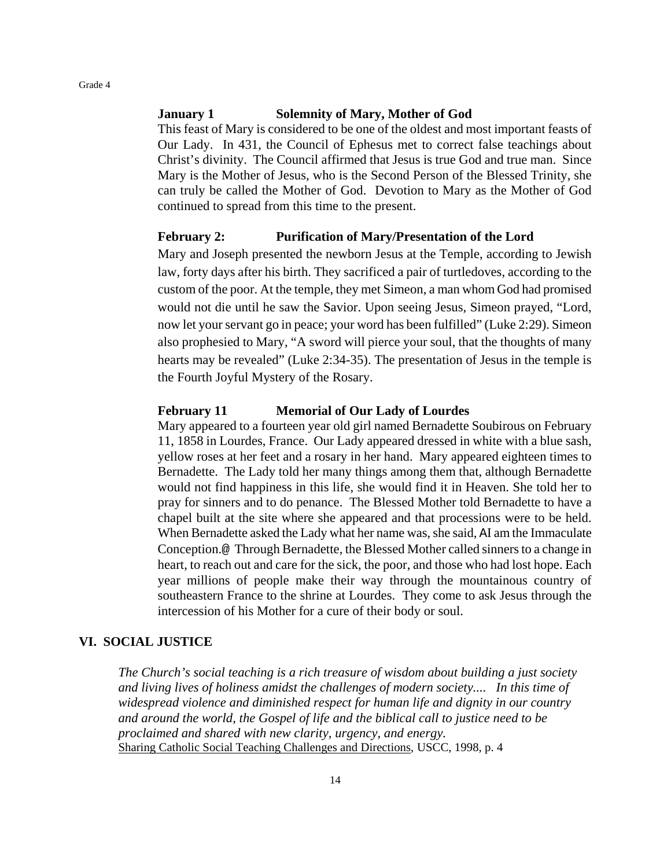## **January 1 Solemnity of Mary, Mother of God**

This feast of Mary is considered to be one of the oldest and most important feasts of Our Lady. In 431, the Council of Ephesus met to correct false teachings about Christ's divinity. The Council affirmed that Jesus is true God and true man. Since Mary is the Mother of Jesus, who is the Second Person of the Blessed Trinity, she can truly be called the Mother of God. Devotion to Mary as the Mother of God continued to spread from this time to the present.

## **February 2: Purification of Mary/Presentation of the Lord**

Mary and Joseph presented the newborn Jesus at the Temple, according to Jewish law, forty days after his birth. They sacrificed a pair of turtledoves, according to the custom of the poor. At the temple, they met Simeon, a man whom God had promised would not die until he saw the Savior. Upon seeing Jesus, Simeon prayed, "Lord, now let your servant go in peace; your word has been fulfilled" (Luke 2:29). Simeon also prophesied to Mary, "A sword will pierce your soul, that the thoughts of many hearts may be revealed" (Luke 2:34-35). The presentation of Jesus in the temple is the Fourth Joyful Mystery of the Rosary.

## **February 11 Memorial of Our Lady of Lourdes**

Mary appeared to a fourteen year old girl named Bernadette Soubirous on February 11, 1858 in Lourdes, France. Our Lady appeared dressed in white with a blue sash, yellow roses at her feet and a rosary in her hand. Mary appeared eighteen times to Bernadette. The Lady told her many things among them that, although Bernadette would not find happiness in this life, she would find it in Heaven. She told her to pray for sinners and to do penance. The Blessed Mother told Bernadette to have a chapel built at the site where she appeared and that processions were to be held. When Bernadette asked the Lady what her name was, she said, AI am the Immaculate Conception.@ Through Bernadette, the Blessed Mother called sinners to a change in heart, to reach out and care for the sick, the poor, and those who had lost hope. Each year millions of people make their way through the mountainous country of southeastern France to the shrine at Lourdes. They come to ask Jesus through the intercession of his Mother for a cure of their body or soul.

#### **VI. SOCIAL JUSTICE**

*The Church's social teaching is a rich treasure of wisdom about building a just society and living lives of holiness amidst the challenges of modern society.... In this time of widespread violence and diminished respect for human life and dignity in our country and around the world, the Gospel of life and the biblical call to justice need to be proclaimed and shared with new clarity, urgency, and energy.* Sharing Catholic Social Teaching Challenges and Directions, USCC, 1998, p. 4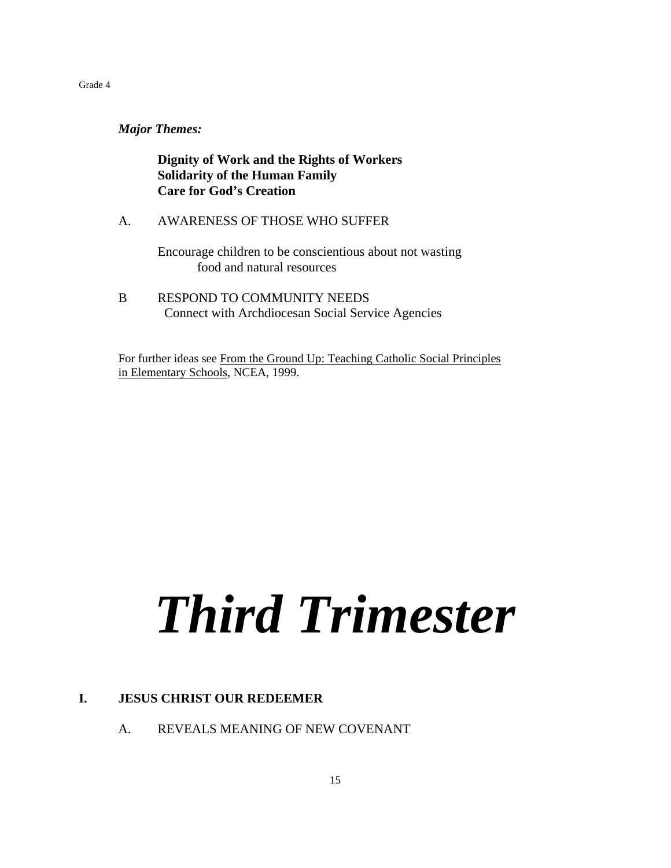*Major Themes:*

**Dignity of Work and the Rights of Workers Solidarity of the Human Family Care for God's Creation**

A. AWARENESS OF THOSE WHO SUFFER

Encourage children to be conscientious about not wasting food and natural resources

B RESPOND TO COMMUNITY NEEDS Connect with Archdiocesan Social Service Agencies

For further ideas see From the Ground Up: Teaching Catholic Social Principles in Elementary Schools, NCEA, 1999.

# *Third Trimester*

## **I. JESUS CHRIST OUR REDEEMER**

A. REVEALS MEANING OF NEW COVENANT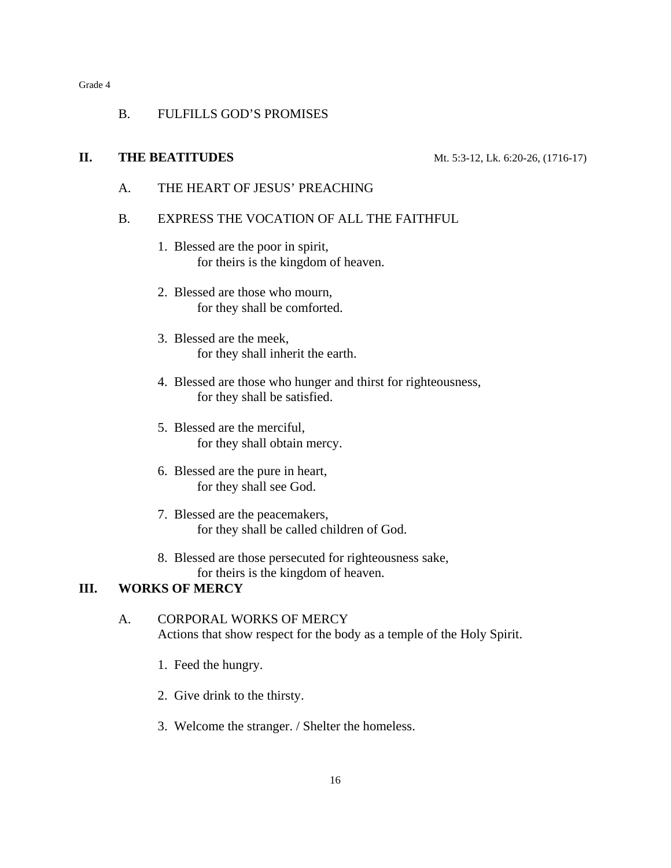## B. FULFILLS GOD'S PROMISES

## **II. THE BEATITUDES** Mt. 5:3-12, Lk. 6:20-26, (1716-17)

A. THE HEART OF JESUS' PREACHING

## B. EXPRESS THE VOCATION OF ALL THE FAITHFUL

- 1. Blessed are the poor in spirit, for theirs is the kingdom of heaven.
- 2. Blessed are those who mourn, for they shall be comforted.
- 3. Blessed are the meek, for they shall inherit the earth.
- 4. Blessed are those who hunger and thirst for righteousness, for they shall be satisfied.
- 5. Blessed are the merciful, for they shall obtain mercy.
- 6. Blessed are the pure in heart, for they shall see God.
- 7. Blessed are the peacemakers, for they shall be called children of God.
- 8. Blessed are those persecuted for righteousness sake, for theirs is the kingdom of heaven.

## **III. WORKS OF MERCY**

## A. CORPORAL WORKS OF MERCY Actions that show respect for the body as a temple of the Holy Spirit.

- 1. Feed the hungry.
- 2. Give drink to the thirsty.
- 3. Welcome the stranger. / Shelter the homeless.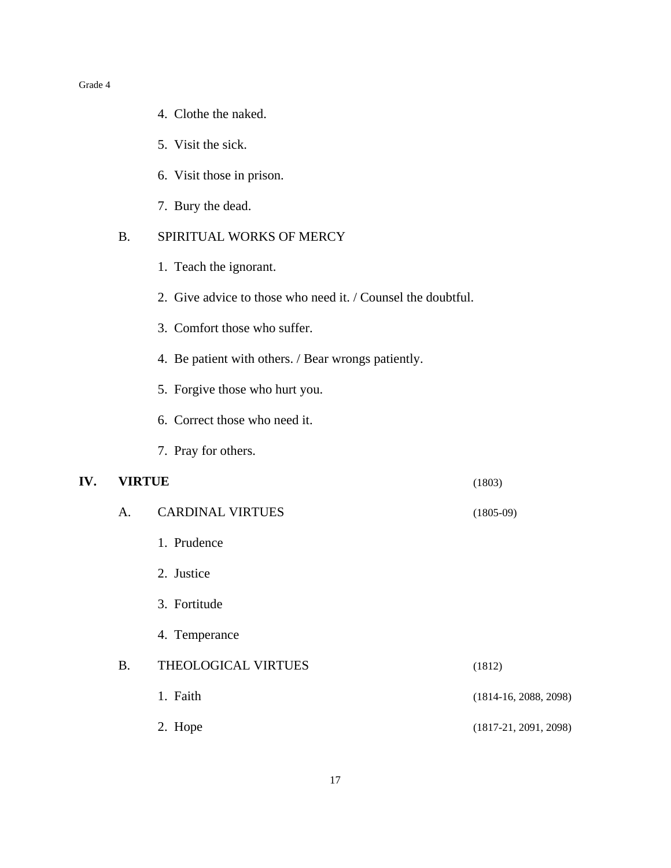- 4. Clothe the naked.
- 5. Visit the sick.
- 6. Visit those in prison.
- 7. Bury the dead.

## B. SPIRITUAL WORKS OF MERCY

- 1. Teach the ignorant.
- 2. Give advice to those who need it. / Counsel the doubtful.
- 3. Comfort those who suffer.
- 4. Be patient with others. / Bear wrongs patiently.
- 5. Forgive those who hurt you.
- 6. Correct those who need it.
- 7. Pray for others.

## **IV. VIRTUE** (1803)

|  | (1803) |
|--|--------|
|  |        |

| A.        | <b>CARDINAL VIRTUES</b> | $(1805-09)$             |
|-----------|-------------------------|-------------------------|
|           | 1. Prudence             |                         |
|           | 2. Justice              |                         |
|           | 3. Fortitude            |                         |
|           | 4. Temperance           |                         |
| <b>B.</b> | THEOLOGICAL VIRTUES     | (1812)                  |
|           | 1. Faith                | $(1814-16, 2088, 2098)$ |
|           | 2. Hope                 | $(1817-21, 2091, 2098)$ |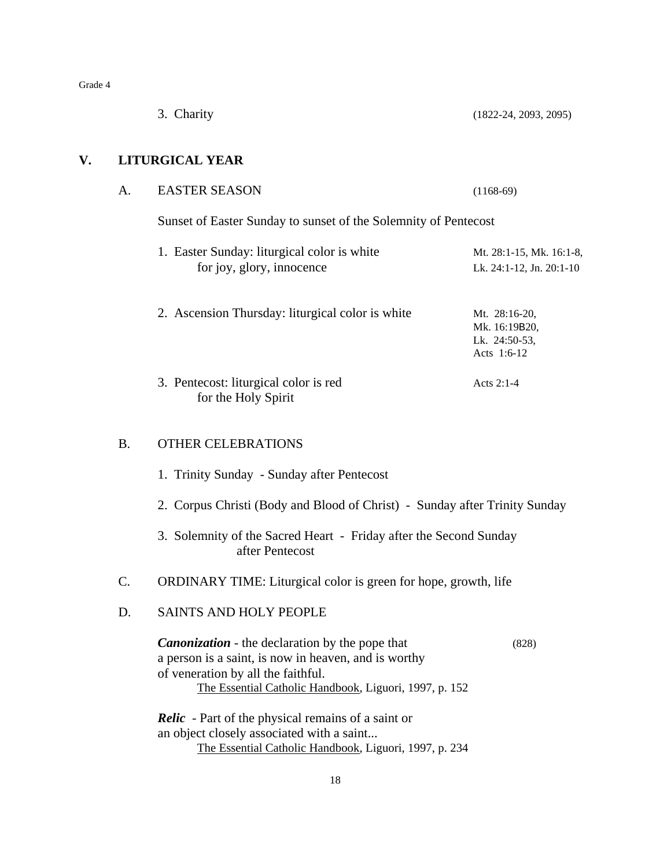|    |                 | 3. Charity                                                                                                                                                                                                     | $(1822-24, 2093, 2095)$                                        |
|----|-----------------|----------------------------------------------------------------------------------------------------------------------------------------------------------------------------------------------------------------|----------------------------------------------------------------|
| V. |                 | <b>LITURGICAL YEAR</b>                                                                                                                                                                                         |                                                                |
|    | A.              | <b>EASTER SEASON</b>                                                                                                                                                                                           | $(1168-69)$                                                    |
|    |                 | Sunset of Easter Sunday to sunset of the Solemnity of Pentecost                                                                                                                                                |                                                                |
|    |                 | 1. Easter Sunday: liturgical color is white<br>for joy, glory, innocence                                                                                                                                       | Mt. 28:1-15, Mk. 16:1-8,<br>Lk. 24:1-12, Jn. 20:1-10           |
|    |                 | 2. Ascension Thursday: liturgical color is white                                                                                                                                                               | Mt. 28:16-20,<br>Mk. 16:19B20,<br>Lk. 24:50-53,<br>Acts 1:6-12 |
|    |                 | 3. Pentecost: liturgical color is red<br>for the Holy Spirit                                                                                                                                                   | Acts 2:1-4                                                     |
|    | <b>B.</b>       | OTHER CELEBRATIONS                                                                                                                                                                                             |                                                                |
|    |                 | 1. Trinity Sunday - Sunday after Pentecost                                                                                                                                                                     |                                                                |
|    |                 | 2. Corpus Christi (Body and Blood of Christ) - Sunday after Trinity Sunday                                                                                                                                     |                                                                |
|    |                 | 3. Solemnity of the Sacred Heart - Friday after the Second Sunday<br>after Pentecost                                                                                                                           |                                                                |
|    | $\mathcal{C}$ . | ORDINARY TIME: Liturgical color is green for hope, growth, life                                                                                                                                                |                                                                |
|    | D.              | <b>SAINTS AND HOLY PEOPLE</b>                                                                                                                                                                                  |                                                                |
|    |                 | <b>Canonization</b> - the declaration by the pope that<br>a person is a saint, is now in heaven, and is worthy<br>of veneration by all the faithful.<br>The Essential Catholic Handbook, Liguori, 1997, p. 152 | (828)                                                          |
|    |                 | <b>Relic</b> - Part of the physical remains of a saint or<br>an object closely associated with a saint<br>The Essential Catholic Handbook, Liguori, 1997, p. 234                                               |                                                                |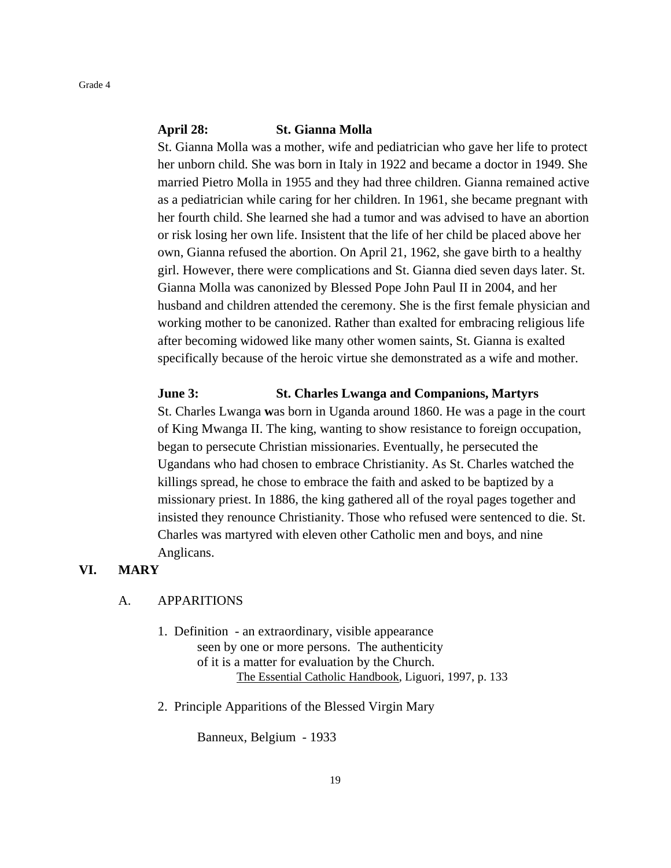### **April 28: St. Gianna Molla**

St. Gianna Molla was a mother, wife and pediatrician who gave her life to protect her unborn child. She was born in Italy in 1922 and became a doctor in 1949. She married Pietro Molla in 1955 and they had three children. Gianna remained active as a pediatrician while caring for her children. In 1961, she became pregnant with her fourth child. She learned she had a tumor and was advised to have an abortion or risk losing her own life. Insistent that the life of her child be placed above her own, Gianna refused the abortion. On April 21, 1962, she gave birth to a healthy girl. However, there were complications and St. Gianna died seven days later. St. Gianna Molla was canonized by Blessed Pope John Paul II in 2004, and her husband and children attended the ceremony. She is the first female physician and working mother to be canonized. Rather than exalted for embracing religious life after becoming widowed like many other women saints, St. Gianna is exalted specifically because of the heroic virtue she demonstrated as a wife and mother.

### **June 3: St. Charles Lwanga and Companions, Martyrs**

St. Charles Lwanga **w**as born in Uganda around 1860. He was a page in the court of King Mwanga II. The king, wanting to show resistance to foreign occupation, began to persecute Christian missionaries. Eventually, he persecuted the Ugandans who had chosen to embrace Christianity. As St. Charles watched the killings spread, he chose to embrace the faith and asked to be baptized by a missionary priest. In 1886, the king gathered all of the royal pages together and insisted they renounce Christianity. Those who refused were sentenced to die. St. Charles was martyred with eleven other Catholic men and boys, and nine Anglicans.

### **VI. MARY**

## A. APPARITIONS

- 1. Definition an extraordinary, visible appearance seen by one or more persons. The authenticity of it is a matter for evaluation by the Church. The Essential Catholic Handbook, Liguori, 1997, p. 133
- 2. Principle Apparitions of the Blessed Virgin Mary

Banneux, Belgium - 1933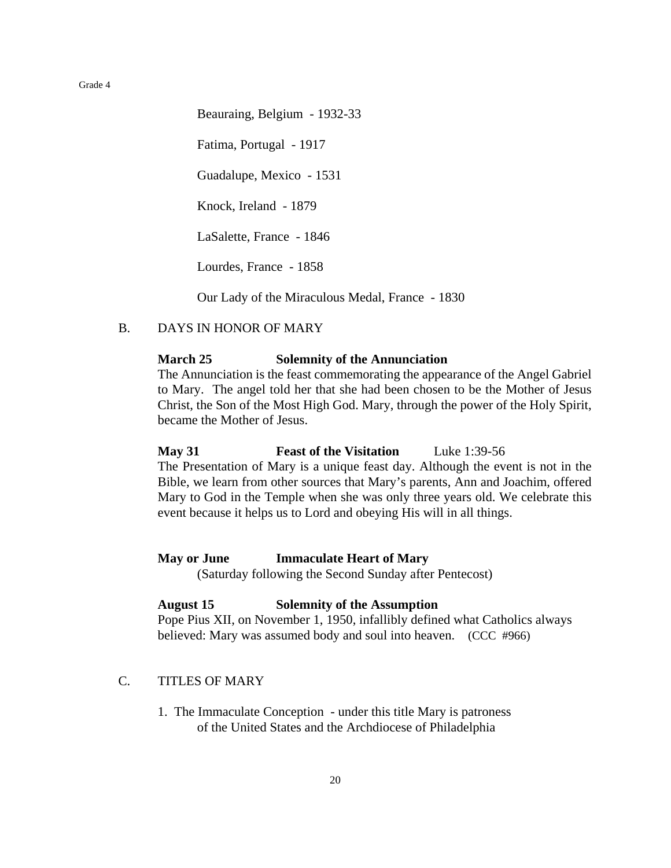Beauraing, Belgium - 1932-33 Fatima, Portugal - 1917 Guadalupe, Mexico - 1531 Knock, Ireland - 1879 LaSalette, France - 1846 Lourdes, France - 1858

Our Lady of the Miraculous Medal, France - 1830

B. DAYS IN HONOR OF MARY

## **March 25 Solemnity of the Annunciation**

The Annunciation is the feast commemorating the appearance of the Angel Gabriel to Mary. The angel told her that she had been chosen to be the Mother of Jesus Christ, the Son of the Most High God. Mary, through the power of the Holy Spirit, became the Mother of Jesus.

## **May 31 Feast of the Visitation** Luke 1:39-56

The Presentation of Mary is a unique feast day. Although the event is not in the Bible, we learn from other sources that Mary's parents, Ann and Joachim, offered Mary to God in the Temple when she was only three years old. We celebrate this event because it helps us to Lord and obeying His will in all things.

#### **May or June Immaculate Heart of Mary**

(Saturday following the Second Sunday after Pentecost)

#### **August 15 Solemnity of the Assumption**

Pope Pius XII, on November 1, 1950, infallibly defined what Catholics always believed: Mary was assumed body and soul into heaven. (CCC #966)

## C. TITLES OF MARY

1. The Immaculate Conception - under this title Mary is patroness of the United States and the Archdiocese of Philadelphia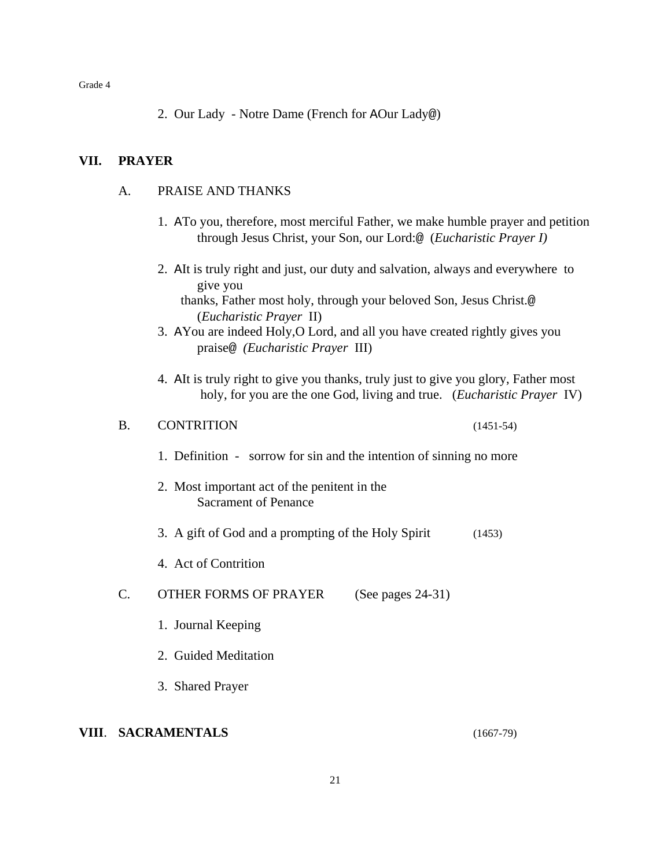2. Our Lady - Notre Dame (French for AOur Lady@)

## **VII. PRAYER**

## A. PRAISE AND THANKS

- 1. ATo you, therefore, most merciful Father, we make humble prayer and petition through Jesus Christ, your Son, our Lord:@ (*Eucharistic Prayer I)*
- 2. AIt is truly right and just, our duty and salvation, always and everywhere to give you

 thanks, Father most holy, through your beloved Son, Jesus Christ.@ (*Eucharistic Prayer* II)

- 3. AYou are indeed Holy,O Lord, and all you have created rightly gives you praise@ *(Eucharistic Prayer* III)
- 4. AIt is truly right to give you thanks, truly just to give you glory, Father most holy, for you are the one God, living and true. (*Eucharistic Prayer* IV)

## B. CONTRITION (1451-54)

- 1. Definition sorrow for sin and the intention of sinning no more
- 2. Most important act of the penitent in the Sacrament of Penance
- 3. A gift of God and a prompting of the Holy Spirit (1453)
- 4. Act of Contrition
- C. OTHER FORMS OF PRAYER (See pages 24-31)
	- 1. Journal Keeping
	- 2. Guided Meditation
	- 3. Shared Prayer

## **VIII**. **SACRAMENTALS** (1667-79)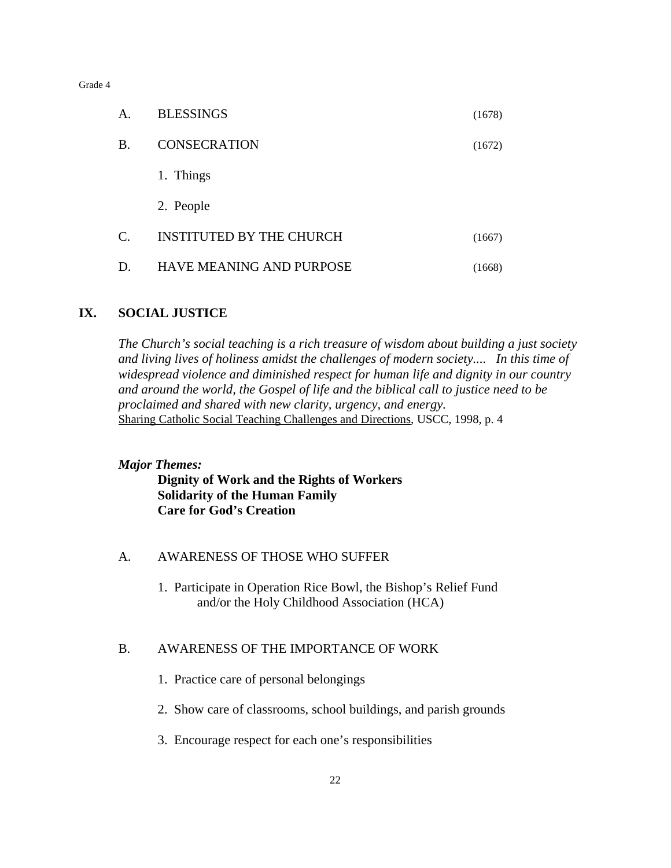| Α.              | <b>BLESSINGS</b>                | (1678) |
|-----------------|---------------------------------|--------|
| <b>B.</b>       | <b>CONSECRATION</b>             | (1672) |
|                 | 1. Things                       |        |
|                 | 2. People                       |        |
| $\mathcal{C}$ . | <b>INSTITUTED BY THE CHURCH</b> | (1667) |
| D.              | <b>HAVE MEANING AND PURPOSE</b> | (1668) |

## **IX. SOCIAL JUSTICE**

*The Church's social teaching is a rich treasure of wisdom about building a just society and living lives of holiness amidst the challenges of modern society.... In this time of widespread violence and diminished respect for human life and dignity in our country and around the world, the Gospel of life and the biblical call to justice need to be proclaimed and shared with new clarity, urgency, and energy.* Sharing Catholic Social Teaching Challenges and Directions, USCC, 1998, p. 4

## *Major Themes:*

**Dignity of Work and the Rights of Workers Solidarity of the Human Family Care for God's Creation**

## A. AWARENESS OF THOSE WHO SUFFER

1. Participate in Operation Rice Bowl, the Bishop's Relief Fund and/or the Holy Childhood Association (HCA)

## B. AWARENESS OF THE IMPORTANCE OF WORK

- 1. Practice care of personal belongings
- 2. Show care of classrooms, school buildings, and parish grounds
- 3. Encourage respect for each one's responsibilities